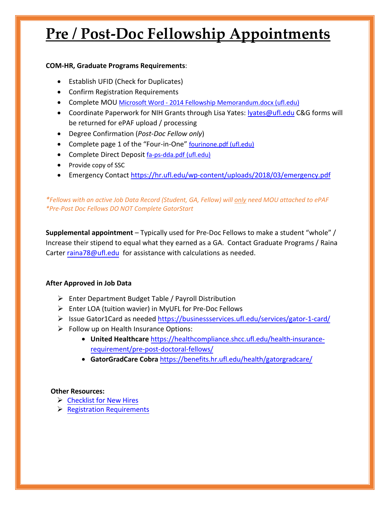# **Pre / Post-Doc Fellowship Appointments**

### **COM-HR, Graduate Programs Requirements**:

- Establish UFID (Check for Duplicates)
- Confirm Registration Requirements
- Complete MOU [Microsoft Word 2014 Fellowship Memorandum.docx \(ufl.edu\)](https://hr.ufl.edu/wp-content/uploads/2018/04/fellowshipmemo.pdf)
- Coordinate Paperwork for NIH Grants through Lisa Yates: [lyates@ufl.edu](mailto:lyates@ufl.edu) C&G forms will be returned for ePAF upload / processing
- Degree Confirmation (*Post-Doc Fellow only*)
- Complete page 1 of the "Four-in-One" [fourinone.pdf \(ufl.edu\)](https://hr.ufl.edu/wp-content/uploads/2018/04/fourinone.pdf)
- Complete Direct Deposit [fa-ps-dda.pdf \(ufl.edu\)](https://www.fa.ufl.edu/wp-content/uploads/2019/06/Direct-Deposit-Authorization.pdf)
- Provide copy of SSC
- Emergency Contact<https://hr.ufl.edu/wp-content/uploads/2018/03/emergency.pdf>

## *\*Fellows with an active Job Data Record (Student, GA, Fellow) will only need MOU attached to ePAF \*Pre-Post Doc Fellows DO NOT Complete GatorStart*

**Supplemental appointment** – Typically used for Pre-Doc Fellows to make a student "whole" / Increase their stipend to equal what they earned as a GA. Contact Graduate Programs / Raina Carter [raina78@ufl.edu](mailto:raina78@ufl.edu) for assistance with calculations as needed.

## **After Approved in Job Data**

- $\triangleright$  Enter Department Budget Table / Payroll Distribution
- Enter LOA (tuition wavier) in MyUFL for Pre-Doc Fellows
- Issue Gator1Card as needed <https://businessservices.ufl.edu/services/gator-1-card/>
- $\triangleright$  Follow up on Health Insurance Options[:](https://healthcompliance.shcc.ufl.edu/health-insurance-requirement/pre-post-doctoral-fellows/)
	- **United Healthcare** [https://healthcompliance.shcc.ufl.edu/health-insurance](https://healthcompliance.shcc.ufl.edu/health-insurance-requirement/pre-post-doctoral-fellows/)requirement/pre-post-doctoral-fellows/
	- **GatorGradCare Cobra** <https://benefits.hr.ufl.edu/health/gatorgradcare/>

### **Other Resources:**

- $\triangleright$  [Checklist for New Hires](https://hr.ufl.edu/forms-policies/forms-managers/)
- $\triangleright$  [Registration Requirements](https://catalog.ufl.edu/graduate/regulations/)